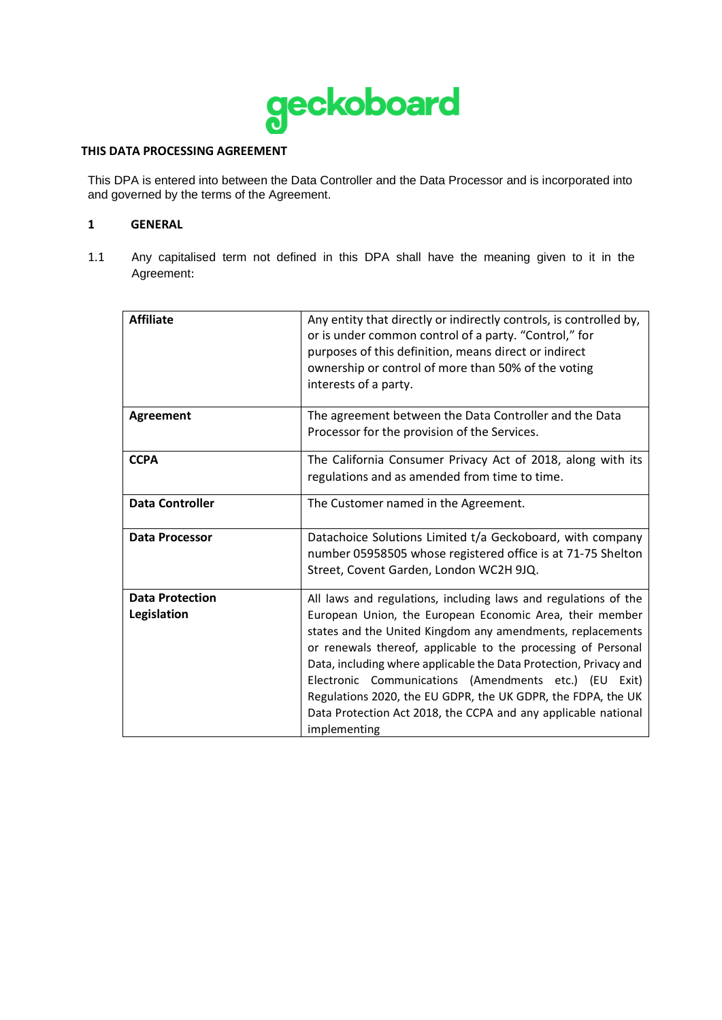

#### **THIS DATA PROCESSING AGREEMENT**

This DPA is entered into between the Data Controller and the Data Processor and is incorporated into and governed by the terms of the Agreement.

#### **1 GENERAL**

1.1 Any capitalised term not defined in this DPA shall have the meaning given to it in the Agreement:

| <b>Affiliate</b>                      | Any entity that directly or indirectly controls, is controlled by,<br>or is under common control of a party. "Control," for<br>purposes of this definition, means direct or indirect<br>ownership or control of more than 50% of the voting<br>interests of a party.                                                                                                                                                                                                                                                                       |
|---------------------------------------|--------------------------------------------------------------------------------------------------------------------------------------------------------------------------------------------------------------------------------------------------------------------------------------------------------------------------------------------------------------------------------------------------------------------------------------------------------------------------------------------------------------------------------------------|
| <b>Agreement</b>                      | The agreement between the Data Controller and the Data<br>Processor for the provision of the Services.                                                                                                                                                                                                                                                                                                                                                                                                                                     |
| <b>CCPA</b>                           | The California Consumer Privacy Act of 2018, along with its<br>regulations and as amended from time to time.                                                                                                                                                                                                                                                                                                                                                                                                                               |
| <b>Data Controller</b>                | The Customer named in the Agreement.                                                                                                                                                                                                                                                                                                                                                                                                                                                                                                       |
| <b>Data Processor</b>                 | Datachoice Solutions Limited t/a Geckoboard, with company<br>number 05958505 whose registered office is at 71-75 Shelton<br>Street, Covent Garden, London WC2H 9JQ.                                                                                                                                                                                                                                                                                                                                                                        |
| <b>Data Protection</b><br>Legislation | All laws and regulations, including laws and regulations of the<br>European Union, the European Economic Area, their member<br>states and the United Kingdom any amendments, replacements<br>or renewals thereof, applicable to the processing of Personal<br>Data, including where applicable the Data Protection, Privacy and<br>Electronic Communications (Amendments etc.) (EU Exit)<br>Regulations 2020, the EU GDPR, the UK GDPR, the FDPA, the UK<br>Data Protection Act 2018, the CCPA and any applicable national<br>implementing |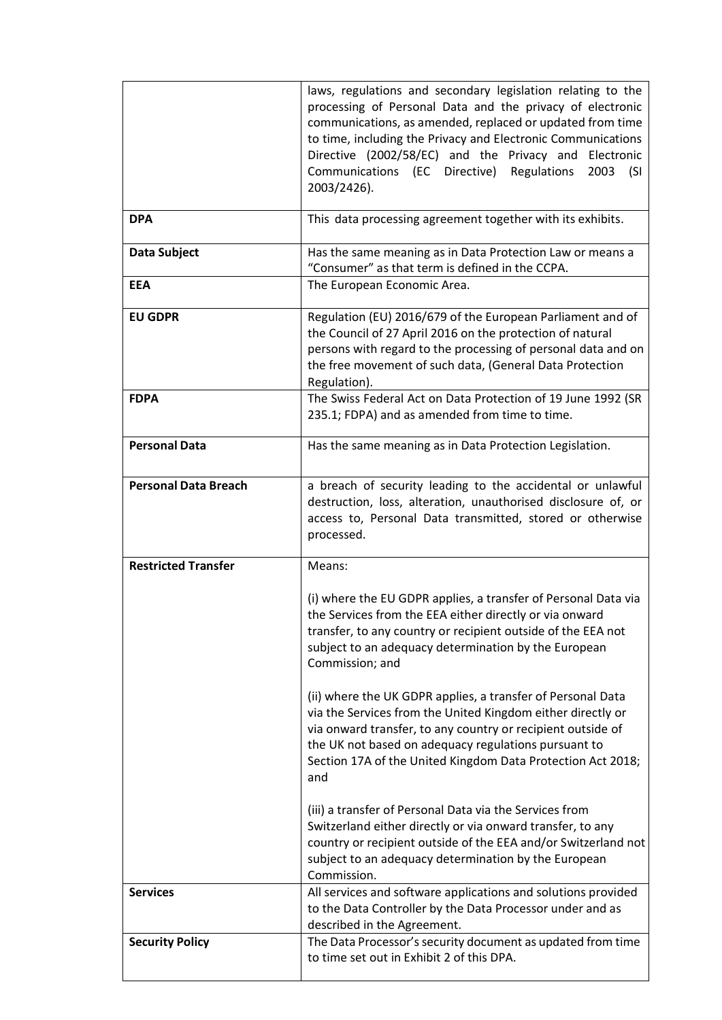|                             | laws, regulations and secondary legislation relating to the<br>processing of Personal Data and the privacy of electronic<br>communications, as amended, replaced or updated from time<br>to time, including the Privacy and Electronic Communications<br>Directive (2002/58/EC) and the Privacy and Electronic<br>Communications (EC Directive) Regulations<br>2003<br>(SI<br>2003/2426). |
|-----------------------------|-------------------------------------------------------------------------------------------------------------------------------------------------------------------------------------------------------------------------------------------------------------------------------------------------------------------------------------------------------------------------------------------|
| <b>DPA</b>                  | This data processing agreement together with its exhibits.                                                                                                                                                                                                                                                                                                                                |
| Data Subject                | Has the same meaning as in Data Protection Law or means a<br>"Consumer" as that term is defined in the CCPA.                                                                                                                                                                                                                                                                              |
| <b>EEA</b>                  | The European Economic Area.                                                                                                                                                                                                                                                                                                                                                               |
| <b>EU GDPR</b>              | Regulation (EU) 2016/679 of the European Parliament and of<br>the Council of 27 April 2016 on the protection of natural<br>persons with regard to the processing of personal data and on<br>the free movement of such data, (General Data Protection<br>Regulation).                                                                                                                      |
| <b>FDPA</b>                 | The Swiss Federal Act on Data Protection of 19 June 1992 (SR<br>235.1; FDPA) and as amended from time to time.                                                                                                                                                                                                                                                                            |
| <b>Personal Data</b>        | Has the same meaning as in Data Protection Legislation.                                                                                                                                                                                                                                                                                                                                   |
| <b>Personal Data Breach</b> | a breach of security leading to the accidental or unlawful<br>destruction, loss, alteration, unauthorised disclosure of, or<br>access to, Personal Data transmitted, stored or otherwise<br>processed.                                                                                                                                                                                    |
| <b>Restricted Transfer</b>  | Means:                                                                                                                                                                                                                                                                                                                                                                                    |
|                             | (i) where the EU GDPR applies, a transfer of Personal Data via<br>the Services from the EEA either directly or via onward<br>transfer, to any country or recipient outside of the EEA not<br>subject to an adequacy determination by the European<br>Commission; and                                                                                                                      |
|                             | (ii) where the UK GDPR applies, a transfer of Personal Data<br>via the Services from the United Kingdom either directly or<br>via onward transfer, to any country or recipient outside of<br>the UK not based on adequacy regulations pursuant to<br>Section 17A of the United Kingdom Data Protection Act 2018;<br>and                                                                   |
|                             | (iii) a transfer of Personal Data via the Services from<br>Switzerland either directly or via onward transfer, to any<br>country or recipient outside of the EEA and/or Switzerland not<br>subject to an adequacy determination by the European<br>Commission.                                                                                                                            |
| <b>Services</b>             | All services and software applications and solutions provided<br>to the Data Controller by the Data Processor under and as<br>described in the Agreement.                                                                                                                                                                                                                                 |
| <b>Security Policy</b>      | The Data Processor's security document as updated from time<br>to time set out in Exhibit 2 of this DPA.                                                                                                                                                                                                                                                                                  |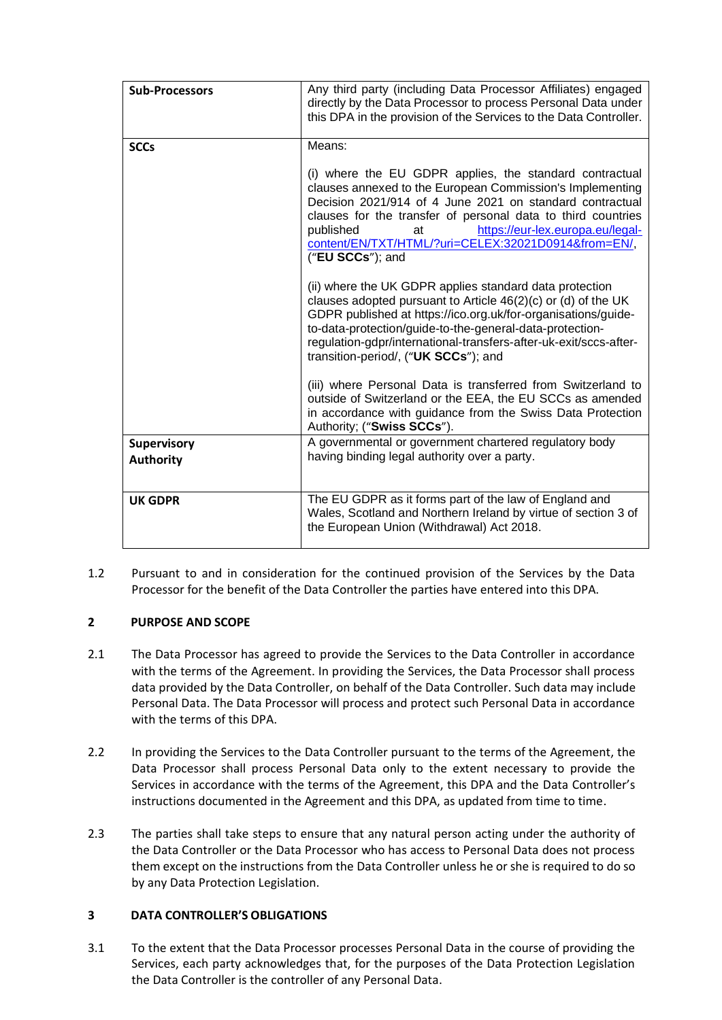| <b>Sub-Processors</b>                  | Any third party (including Data Processor Affiliates) engaged<br>directly by the Data Processor to process Personal Data under<br>this DPA in the provision of the Services to the Data Controller.                                                                                                               |
|----------------------------------------|-------------------------------------------------------------------------------------------------------------------------------------------------------------------------------------------------------------------------------------------------------------------------------------------------------------------|
| <b>SCCs</b>                            | Means:<br>(i) where the EU GDPR applies, the standard contractual<br>clauses annexed to the European Commission's Implementing<br>Decision 2021/914 of 4 June 2021 on standard contractual<br>clauses for the transfer of personal data to third countries<br>published<br>https://eur-lex.europa.eu/legal-<br>at |
|                                        | content/EN/TXT/HTML/?uri=CELEX:32021D0914&from=EN/,<br>("EU SCCs"); and<br>(ii) where the UK GDPR applies standard data protection                                                                                                                                                                                |
|                                        | clauses adopted pursuant to Article 46(2)(c) or (d) of the UK<br>GDPR published at https://ico.org.uk/for-organisations/guide-<br>to-data-protection/guide-to-the-general-data-protection-<br>regulation-gdpr/international-transfers-after-uk-exit/sccs-after-<br>transition-period/, ("UK SCCs"); and           |
|                                        | (iii) where Personal Data is transferred from Switzerland to<br>outside of Switzerland or the EEA, the EU SCCs as amended<br>in accordance with guidance from the Swiss Data Protection<br>Authority; ("Swiss SCCs").                                                                                             |
| <b>Supervisory</b><br><b>Authority</b> | A governmental or government chartered regulatory body<br>having binding legal authority over a party.                                                                                                                                                                                                            |
| <b>UK GDPR</b>                         | The EU GDPR as it forms part of the law of England and<br>Wales, Scotland and Northern Ireland by virtue of section 3 of<br>the European Union (Withdrawal) Act 2018.                                                                                                                                             |

1.2 Pursuant to and in consideration for the continued provision of the Services by the Data Processor for the benefit of the Data Controller the parties have entered into this DPA.

# **2 PURPOSE AND SCOPE**

- 2.1 The Data Processor has agreed to provide the Services to the Data Controller in accordance with the terms of the Agreement. In providing the Services, the Data Processor shall process data provided by the Data Controller, on behalf of the Data Controller. Such data may include Personal Data. The Data Processor will process and protect such Personal Data in accordance with the terms of this DPA.
- 2.2 In providing the Services to the Data Controller pursuant to the terms of the Agreement, the Data Processor shall process Personal Data only to the extent necessary to provide the Services in accordance with the terms of the Agreement, this DPA and the Data Controller's instructions documented in the Agreement and this DPA, as updated from time to time.
- 2.3 The parties shall take steps to ensure that any natural person acting under the authority of the Data Controller or the Data Processor who has access to Personal Data does not process them except on the instructions from the Data Controller unless he or she is required to do so by any Data Protection Legislation.

## **3 DATA CONTROLLER'S OBLIGATIONS**

3.1 To the extent that the Data Processor processes Personal Data in the course of providing the Services, each party acknowledges that, for the purposes of the Data Protection Legislation the Data Controller is the controller of any Personal Data.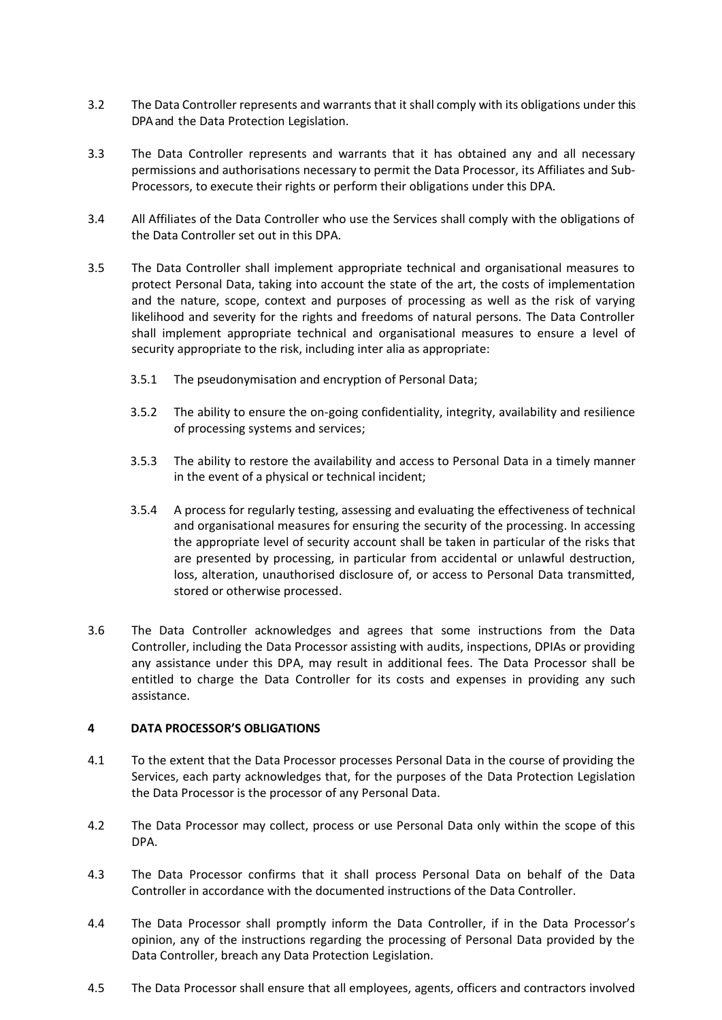- 3.2 The Data Controller represents and warrants that it shall comply with its obligations under this DPA and the Data Protection Legislation.
- 3.3 The Data Controller represents and warrants that it has obtained any and all necessary permissions and authorisations necessary to permit the Data Processor, its Affiliates and Sub-Processors, to execute their rights or perform their obligations under this DPA.
- 3.4 All Affiliates of the Data Controller who use the Services shall comply with the obligations of the Data Controller set out in this DPA.
- 3.5 The Data Controller shall implement appropriate technical and organisational measures to protect Personal Data, taking into account the state of the art, the costs of implementation and the nature, scope, context and purposes of processing as well as the risk of varying likelihood and severity for the rights and freedoms of natural persons. The Data Controller shall implement appropriate technical and organisational measures to ensure a level of security appropriate to the risk, including inter alia as appropriate:
	- 3.5.1 The pseudonymisation and encryption of Personal Data;
	- 3.5.2 The ability to ensure the on-going confidentiality, integrity, availability and resilience of processing systems and services;
	- 3.5.3 The ability to restore the availability and access to Personal Data in a timely manner in the event of a physical or technical incident;
	- 3.5.4 A process for regularly testing, assessing and evaluating the effectiveness of technical and organisational measures for ensuring the security of the processing. In accessing the appropriate level of security account shall be taken in particular of the risks that are presented by processing, in particular from accidental or unlawful destruction, loss, alteration, unauthorised disclosure of, or access to Personal Data transmitted, stored or otherwise processed.
- 3.6 The Data Controller acknowledges and agrees that some instructions from the Data Controller, including the Data Processor assisting with audits, inspections, DPIAs or providing any assistance under this DPA, may result in additional fees. The Data Processor shall be entitled to charge the Data Controller for its costs and expenses in providing any such assistance.

#### **4 DATA PROCESSOR'S OBLIGATIONS**

- 4.1 To the extent that the Data Processor processes Personal Data in the course of providing the Services, each party acknowledges that, for the purposes of the Data Protection Legislation the Data Processor is the processor of any Personal Data.
- 4.2 The Data Processor may collect, process or use Personal Data only within the scope of this DPA.
- 4.3 The Data Processor confirms that it shall process Personal Data on behalf of the Data Controller in accordance with the documented instructions of the Data Controller.
- 4.4 The Data Processor shall promptly inform the Data Controller, if in the Data Processor's opinion, any of the instructions regarding the processing of Personal Data provided by the Data Controller, breach any Data Protection Legislation.
- 4.5 The Data Processor shall ensure that all employees, agents, officers and contractors involved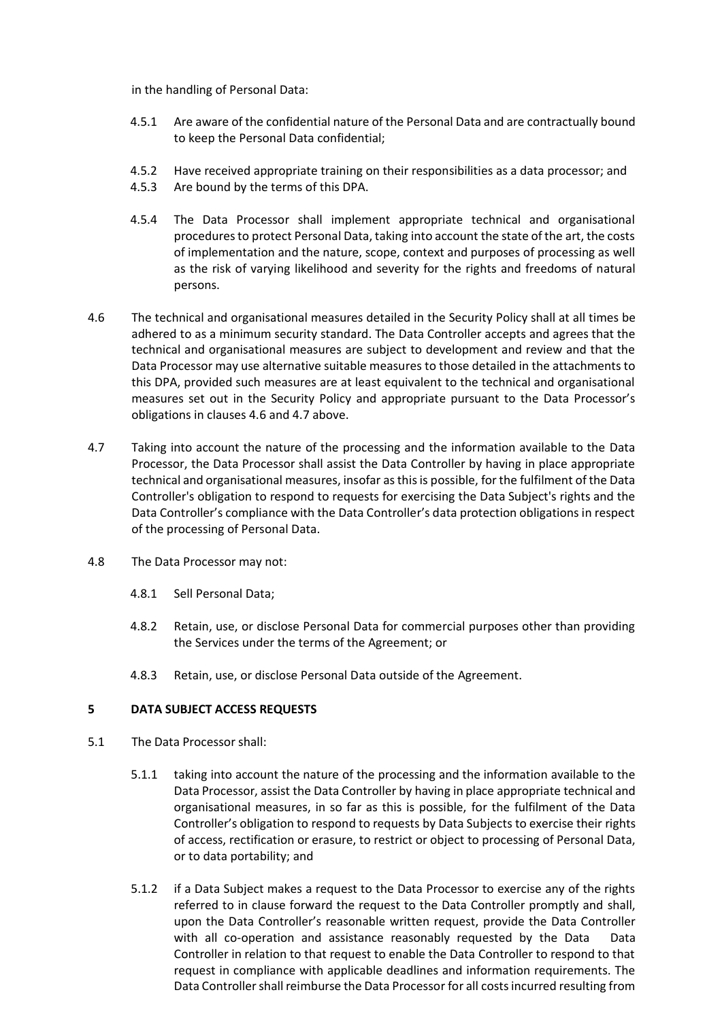in the handling of Personal Data:

- 4.5.1 Are aware of the confidential nature of the Personal Data and are contractually bound to keep the Personal Data confidential;
- 4.5.2 Have received appropriate training on their responsibilities as a data processor; and
- 4.5.3 Are bound by the terms of this DPA.
- 4.5.4 The Data Processor shall implement appropriate technical and organisational procedures to protect Personal Data, taking into account the state of the art, the costs of implementation and the nature, scope, context and purposes of processing as well as the risk of varying likelihood and severity for the rights and freedoms of natural persons.
- 4.6 The technical and organisational measures detailed in the Security Policy shall at all times be adhered to as a minimum security standard. The Data Controller accepts and agrees that the technical and organisational measures are subject to development and review and that the Data Processor may use alternative suitable measures to those detailed in the attachments to this DPA, provided such measures are at least equivalent to the technical and organisational measures set out in the Security Policy and appropriate pursuant to the Data Processor's obligations in clauses 4.6 and 4.7 above.
- 4.7 Taking into account the nature of the processing and the information available to the Data Processor, the Data Processor shall assist the Data Controller by having in place appropriate technical and organisational measures, insofar as this is possible, for the fulfilment of the Data Controller's obligation to respond to requests for exercising the Data Subject's rights and the Data Controller's compliance with the Data Controller's data protection obligations in respect of the processing of Personal Data.
- 4.8 The Data Processor may not:
	- 4.8.1 Sell Personal Data;
	- 4.8.2 Retain, use, or disclose Personal Data for commercial purposes other than providing the Services under the terms of the Agreement; or
	- 4.8.3 Retain, use, or disclose Personal Data outside of the Agreement.

## **5 DATA SUBJECT ACCESS REQUESTS**

- 5.1 The Data Processor shall:
	- 5.1.1 taking into account the nature of the processing and the information available to the Data Processor, assist the Data Controller by having in place appropriate technical and organisational measures, in so far as this is possible, for the fulfilment of the Data Controller's obligation to respond to requests by Data Subjects to exercise their rights of access, rectification or erasure, to restrict or object to processing of Personal Data, or to data portability; and
	- 5.1.2 if a Data Subject makes a request to the Data Processor to exercise any of the rights referred to in clause forward the request to the Data Controller promptly and shall, upon the Data Controller's reasonable written request, provide the Data Controller with all co-operation and assistance reasonably requested by the Data Data Controller in relation to that request to enable the Data Controller to respond to that request in compliance with applicable deadlines and information requirements. The Data Controller shall reimburse the Data Processor for all costsincurred resulting from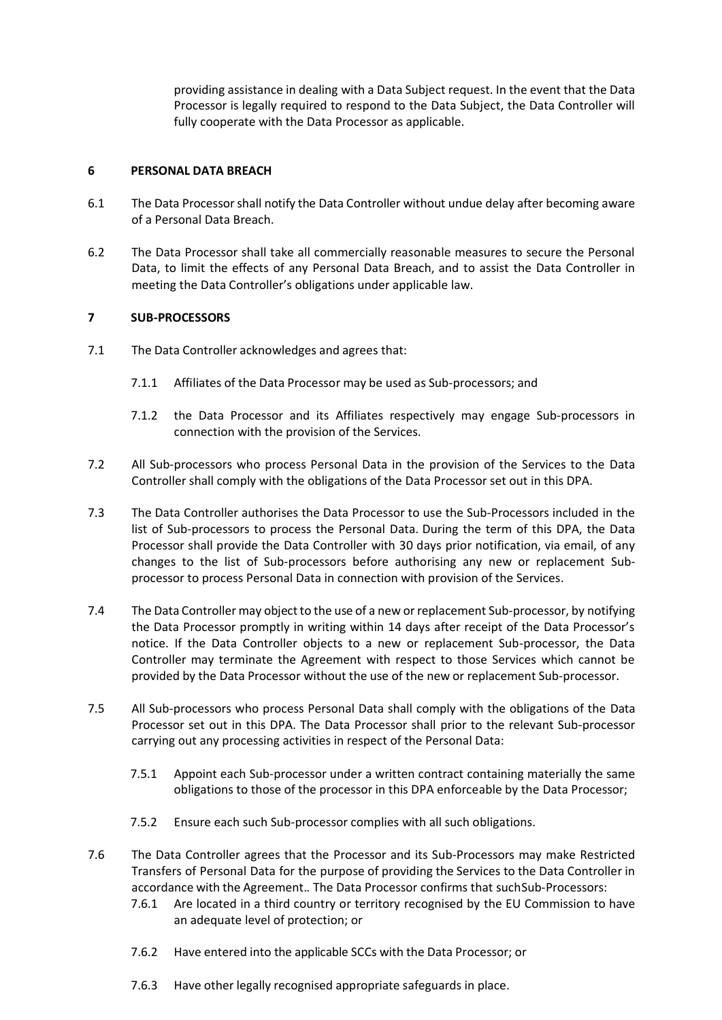providing assistance in dealing with a Data Subject request. In the event that the Data Processor is legally required to respond to the Data Subject, the Data Controller will fully cooperate with the Data Processor as applicable.

# **6 PERSONAL DATA BREACH**

- 6.1 The Data Processorshall notify the Data Controller without undue delay after becoming aware of a Personal Data Breach.
- 6.2 The Data Processor shall take all commercially reasonable measures to secure the Personal Data, to limit the effects of any Personal Data Breach, and to assist the Data Controller in meeting the Data Controller's obligations under applicable law.

## **7 SUB-PROCESSORS**

- 7.1 The Data Controller acknowledges and agrees that:
	- 7.1.1 Affiliates of the Data Processor may be used as Sub-processors; and
	- 7.1.2 the Data Processor and its Affiliates respectively may engage Sub-processors in connection with the provision of the Services.
- 7.2 All Sub-processors who process Personal Data in the provision of the Services to the Data Controller shall comply with the obligations of the Data Processor set out in this DPA.
- 7.3 The Data Controller authorises the Data Processor to use the Sub-Processors included in the list of Sub-processors to process the Personal Data. During the term of this DPA, the Data Processor shall provide the Data Controller with 30 days prior notification, via email, of any changes to the list of Sub-processors before authorising any new or replacement Subprocessor to process Personal Data in connection with provision of the Services.
- 7.4 The Data Controller may object to the use of a new or replacement Sub-processor, by notifying the Data Processor promptly in writing within 14 days after receipt of the Data Processor's notice. If the Data Controller objects to a new or replacement Sub-processor, the Data Controller may terminate the Agreement with respect to those Services which cannot be provided by the Data Processor without the use of the new or replacement Sub-processor.
- 7.5 All Sub-processors who process Personal Data shall comply with the obligations of the Data Processor set out in this DPA. The Data Processor shall prior to the relevant Sub-processor carrying out any processing activities in respect of the Personal Data:
	- 7.5.1 Appoint each Sub-processor under a written contract containing materially the same obligations to those of the processor in this DPA enforceable by the Data Processor;
	- 7.5.2 Ensure each such Sub-processor complies with all such obligations.
- 7.6 The Data Controller agrees that the Processor and its Sub-Processors may make Restricted Transfers of Personal Data for the purpose of providing the Services to the Data Controller in accordance with the Agreement.. The Data Processor confirms that suchSub-Processors:
	- 7.6.1 Are located in a third country or territory recognised by the EU Commission to have an adequate level of protection; or
	- 7.6.2 Have entered into the applicable SCCs with the Data Processor; or
	- 7.6.3 Have other legally recognised appropriate safeguards in place.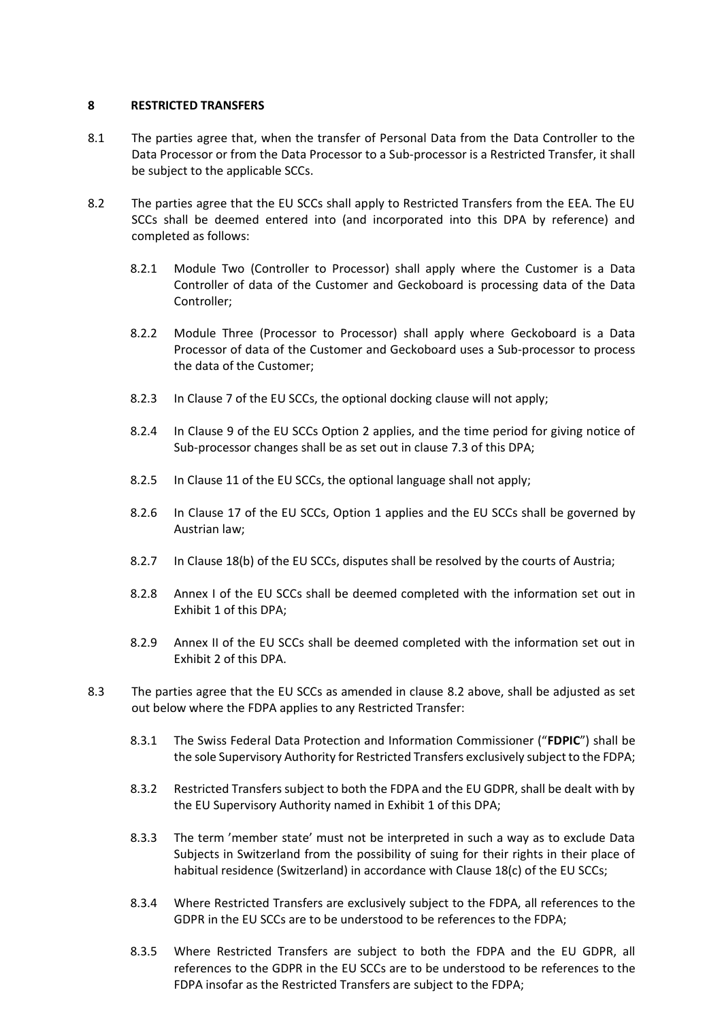### **8 RESTRICTED TRANSFERS**

- 8.1 The parties agree that, when the transfer of Personal Data from the Data Controller to the Data Processor or from the Data Processor to a Sub-processor is a Restricted Transfer, it shall be subject to the applicable SCCs.
- 8.2 The parties agree that the EU SCCs shall apply to Restricted Transfers from the EEA. The EU SCCs shall be deemed entered into (and incorporated into this DPA by reference) and completed as follows:
	- 8.2.1 Module Two (Controller to Processor) shall apply where the Customer is a Data Controller of data of the Customer and Geckoboard is processing data of the Data Controller;
	- 8.2.2 Module Three (Processor to Processor) shall apply where Geckoboard is a Data Processor of data of the Customer and Geckoboard uses a Sub-processor to process the data of the Customer;
	- 8.2.3 In Clause 7 of the EU SCCs, the optional docking clause will not apply;
	- 8.2.4 In Clause 9 of the EU SCCs Option 2 applies, and the time period for giving notice of Sub-processor changes shall be as set out in clause 7.3 of this DPA;
	- 8.2.5 In Clause 11 of the EU SCCs, the optional language shall not apply;
	- 8.2.6 In Clause 17 of the EU SCCs, Option 1 applies and the EU SCCs shall be governed by Austrian law;
	- 8.2.7 In Clause 18(b) of the EU SCCs, disputes shall be resolved by the courts of Austria;
	- 8.2.8 Annex I of the EU SCCs shall be deemed completed with the information set out in Exhibit 1 of this DPA;
	- 8.2.9 Annex II of the EU SCCs shall be deemed completed with the information set out in Exhibit 2 of this DPA.
- 8.3 The parties agree that the EU SCCs as amended in clause 8.2 above, shall be adjusted as set out below where the FDPA applies to any Restricted Transfer:
	- 8.3.1 The Swiss Federal Data Protection and Information Commissioner ("**FDPIC**") shall be the sole Supervisory Authority for Restricted Transfers exclusively subject to the FDPA;
	- 8.3.2 Restricted Transfers subject to both the FDPA and the EU GDPR, shall be dealt with by the EU Supervisory Authority named in Exhibit 1 of this DPA;
	- 8.3.3 The term 'member state' must not be interpreted in such a way as to exclude Data Subjects in Switzerland from the possibility of suing for their rights in their place of habitual residence (Switzerland) in accordance with Clause 18(c) of the EU SCCs;
	- 8.3.4 Where Restricted Transfers are exclusively subject to the FDPA, all references to the GDPR in the EU SCCs are to be understood to be references to the FDPA;
	- 8.3.5 Where Restricted Transfers are subject to both the FDPA and the EU GDPR, all references to the GDPR in the EU SCCs are to be understood to be references to the FDPA insofar as the Restricted Transfers are subject to the FDPA;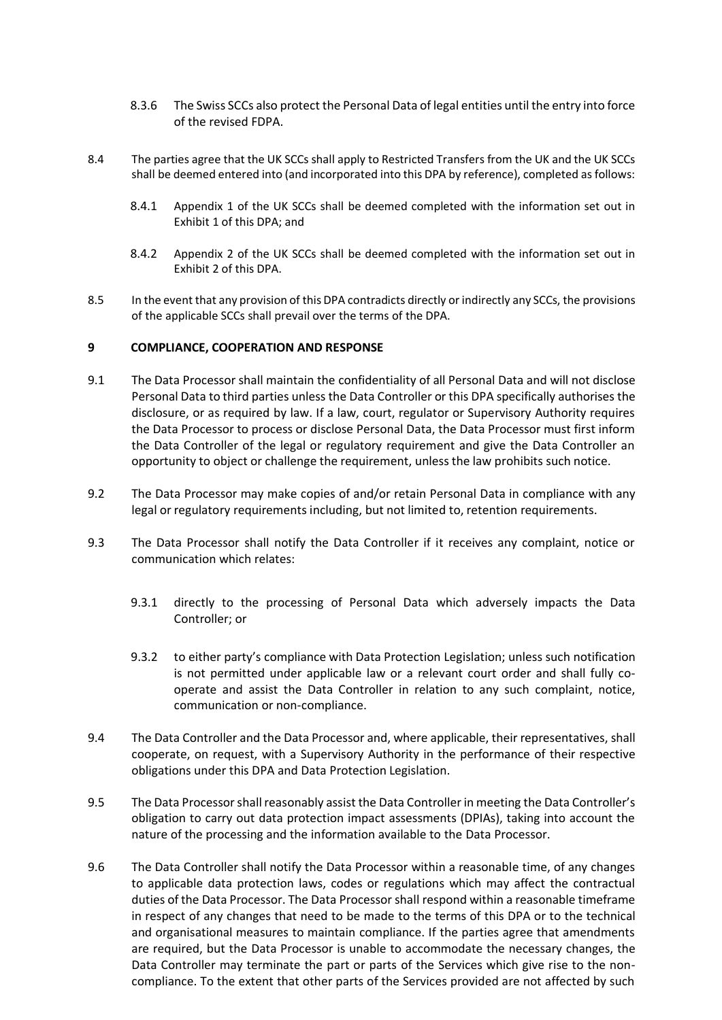- 8.3.6 The Swiss SCCs also protect the Personal Data of legal entities until the entry into force of the revised FDPA.
- 8.4 The parties agree that the UK SCCs shall apply to Restricted Transfers from the UK and the UK SCCs shall be deemed entered into (and incorporated into this DPA by reference), completed as follows:
	- 8.4.1 Appendix 1 of the UK SCCs shall be deemed completed with the information set out in Exhibit 1 of this DPA; and
	- 8.4.2 Appendix 2 of the UK SCCs shall be deemed completed with the information set out in Exhibit 2 of this DPA.
- 8.5 In the event that any provision of this DPA contradicts directly or indirectly any SCCs, the provisions of the applicable SCCs shall prevail over the terms of the DPA.

#### **9 COMPLIANCE, COOPERATION AND RESPONSE**

- 9.1 The Data Processor shall maintain the confidentiality of all Personal Data and will not disclose Personal Data to third parties unless the Data Controller or this DPA specifically authorises the disclosure, or as required by law. If a law, court, regulator or Supervisory Authority requires the Data Processor to process or disclose Personal Data, the Data Processor must first inform the Data Controller of the legal or regulatory requirement and give the Data Controller an opportunity to object or challenge the requirement, unless the law prohibits such notice.
- 9.2 The Data Processor may make copies of and/or retain Personal Data in compliance with any legal or regulatory requirements including, but not limited to, retention requirements.
- 9.3 The Data Processor shall notify the Data Controller if it receives any complaint, notice or communication which relates:
	- 9.3.1 directly to the processing of Personal Data which adversely impacts the Data Controller; or
	- 9.3.2 to either party's compliance with Data Protection Legislation; unless such notification is not permitted under applicable law or a relevant court order and shall fully cooperate and assist the Data Controller in relation to any such complaint, notice, communication or non-compliance.
- 9.4 The Data Controller and the Data Processor and, where applicable, their representatives, shall cooperate, on request, with a Supervisory Authority in the performance of their respective obligations under this DPA and Data Protection Legislation.
- 9.5 The Data Processor shall reasonably assist the Data Controller in meeting the Data Controller's obligation to carry out data protection impact assessments (DPIAs), taking into account the nature of the processing and the information available to the Data Processor.
- 9.6 The Data Controller shall notify the Data Processor within a reasonable time, of any changes to applicable data protection laws, codes or regulations which may affect the contractual duties of the Data Processor. The Data Processor shall respond within a reasonable timeframe in respect of any changes that need to be made to the terms of this DPA or to the technical and organisational measures to maintain compliance. If the parties agree that amendments are required, but the Data Processor is unable to accommodate the necessary changes, the Data Controller may terminate the part or parts of the Services which give rise to the noncompliance. To the extent that other parts of the Services provided are not affected by such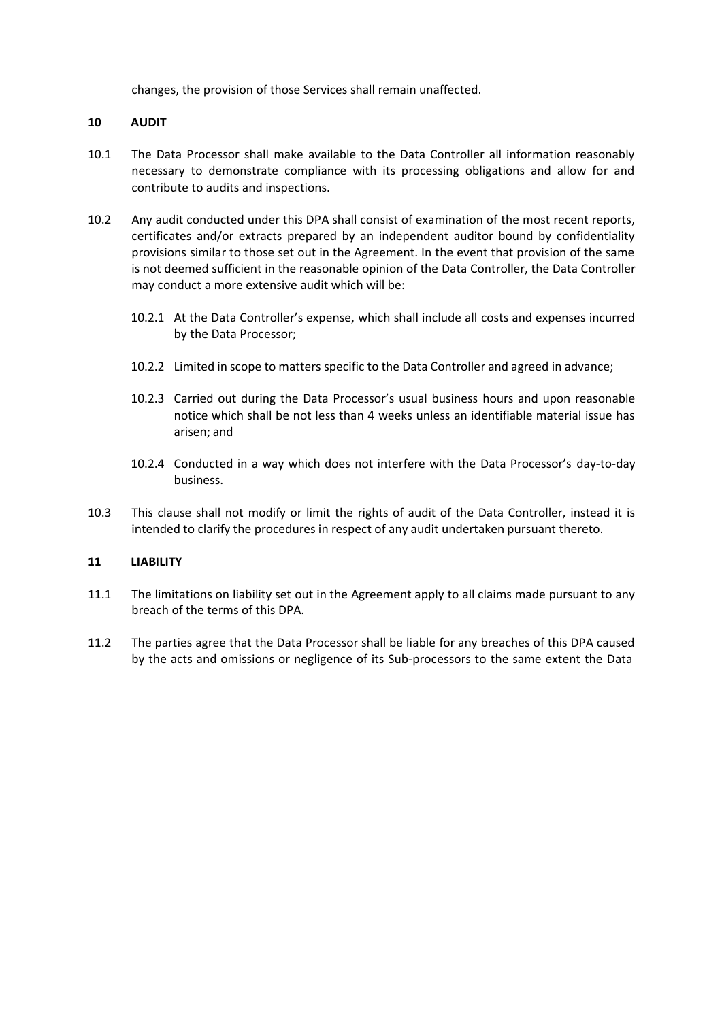changes, the provision of those Services shall remain unaffected.

#### **10 AUDIT**

- 10.1 The Data Processor shall make available to the Data Controller all information reasonably necessary to demonstrate compliance with its processing obligations and allow for and contribute to audits and inspections.
- 10.2 Any audit conducted under this DPA shall consist of examination of the most recent reports, certificates and/or extracts prepared by an independent auditor bound by confidentiality provisions similar to those set out in the Agreement. In the event that provision of the same is not deemed sufficient in the reasonable opinion of the Data Controller, the Data Controller may conduct a more extensive audit which will be:
	- 10.2.1 At the Data Controller's expense, which shall include all costs and expenses incurred by the Data Processor;
	- 10.2.2 Limited in scope to matters specific to the Data Controller and agreed in advance;
	- 10.2.3 Carried out during the Data Processor's usual business hours and upon reasonable notice which shall be not less than 4 weeks unless an identifiable material issue has arisen; and
	- 10.2.4 Conducted in a way which does not interfere with the Data Processor's day-to-day business.
- 10.3 This clause shall not modify or limit the rights of audit of the Data Controller, instead it is intended to clarify the procedures in respect of any audit undertaken pursuant thereto.

## **11 LIABILITY**

- 11.1 The limitations on liability set out in the Agreement apply to all claims made pursuant to any breach of the terms of this DPA.
- 11.2 The parties agree that the Data Processor shall be liable for any breaches of this DPA caused by the acts and omissions or negligence of its Sub-processors to the same extent the Data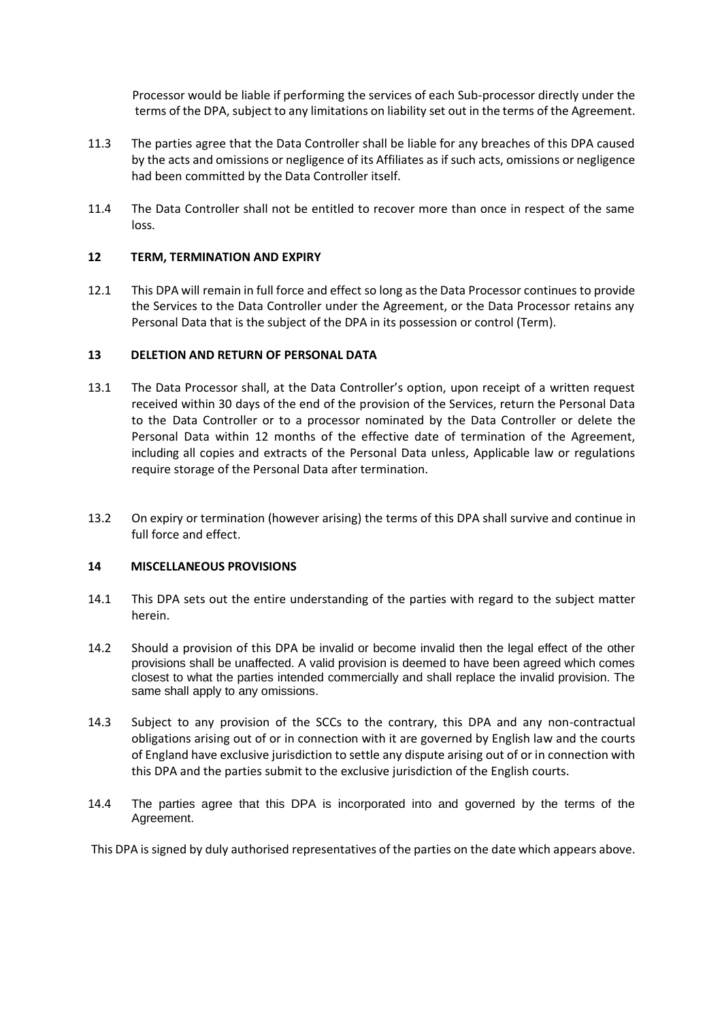Processor would be liable if performing the services of each Sub-processor directly under the terms of the DPA, subject to any limitations on liability set out in the terms of the Agreement.

- 11.3 The parties agree that the Data Controller shall be liable for any breaches of this DPA caused by the acts and omissions or negligence of its Affiliates as if such acts, omissions or negligence had been committed by the Data Controller itself.
- 11.4 The Data Controller shall not be entitled to recover more than once in respect of the same loss.

### **12 TERM, TERMINATION AND EXPIRY**

12.1 This DPA will remain in full force and effect so long as the Data Processor continues to provide the Services to the Data Controller under the Agreement, or the Data Processor retains any Personal Data that is the subject of the DPA in its possession or control (Term).

### **13 DELETION AND RETURN OF PERSONAL DATA**

- 13.1 The Data Processor shall, at the Data Controller's option, upon receipt of a written request received within 30 days of the end of the provision of the Services, return the Personal Data to the Data Controller or to a processor nominated by the Data Controller or delete the Personal Data within 12 months of the effective date of termination of the Agreement, including all copies and extracts of the Personal Data unless, Applicable law or regulations require storage of the Personal Data after termination.
- 13.2 On expiry or termination (however arising) the terms of this DPA shall survive and continue in full force and effect.

#### **14 MISCELLANEOUS PROVISIONS**

- 14.1 This DPA sets out the entire understanding of the parties with regard to the subject matter herein.
- 14.2 Should a provision of this DPA be invalid or become invalid then the legal effect of the other provisions shall be unaffected. A valid provision is deemed to have been agreed which comes closest to what the parties intended commercially and shall replace the invalid provision. The same shall apply to any omissions.
- 14.3 Subject to any provision of the SCCs to the contrary, this DPA and any non-contractual obligations arising out of or in connection with it are governed by English law and the courts of England have exclusive jurisdiction to settle any dispute arising out of or in connection with this DPA and the parties submit to the exclusive jurisdiction of the English courts.
- 14.4 The parties agree that this DPA is incorporated into and governed by the terms of the Agreement.

This DPA is signed by duly authorised representatives of the parties on the date which appears above.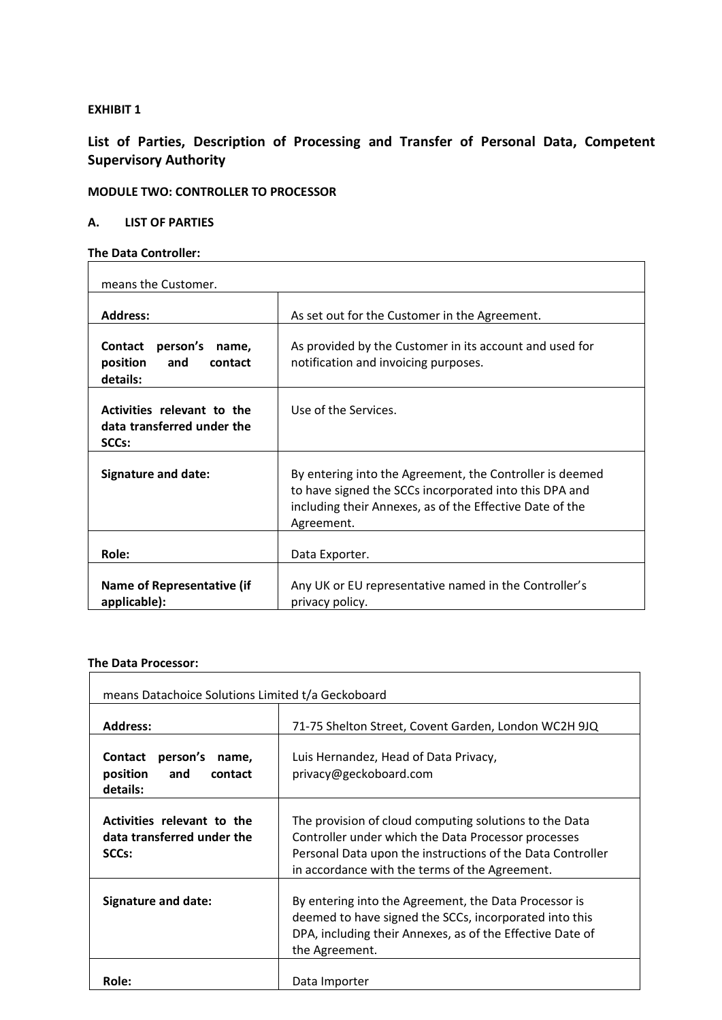# **EXHIBIT 1**

# **List of Parties, Description of Processing and Transfer of Personal Data, Competent Supervisory Authority**

## **MODULE TWO: CONTROLLER TO PROCESSOR**

## **A. LIST OF PARTIES**

#### **The Data Controller:**

| means the Customer.                                                           |                                                                                                                                                                                              |
|-------------------------------------------------------------------------------|----------------------------------------------------------------------------------------------------------------------------------------------------------------------------------------------|
| <b>Address:</b>                                                               | As set out for the Customer in the Agreement.                                                                                                                                                |
| person's<br><b>Contact</b><br>name,<br>position<br>and<br>contact<br>details: | As provided by the Customer in its account and used for<br>notification and invoicing purposes.                                                                                              |
| Activities relevant to the<br>data transferred under the<br>SCCs:             | Use of the Services.                                                                                                                                                                         |
| <b>Signature and date:</b>                                                    | By entering into the Agreement, the Controller is deemed<br>to have signed the SCCs incorporated into this DPA and<br>including their Annexes, as of the Effective Date of the<br>Agreement. |
| Role:                                                                         | Data Exporter.                                                                                                                                                                               |
| <b>Name of Representative (if</b><br>applicable):                             | Any UK or EU representative named in the Controller's<br>privacy policy.                                                                                                                     |

# **The Data Processor:**

| means Datachoice Solutions Limited t/a Geckoboard                             |                                                                                                                                                                                                                               |
|-------------------------------------------------------------------------------|-------------------------------------------------------------------------------------------------------------------------------------------------------------------------------------------------------------------------------|
| <b>Address:</b>                                                               | 71-75 Shelton Street, Covent Garden, London WC2H 9JQ                                                                                                                                                                          |
| person's<br><b>Contact</b><br>name,<br>position<br>and<br>contact<br>details: | Luis Hernandez, Head of Data Privacy,<br>privacy@geckoboard.com                                                                                                                                                               |
| Activities relevant to the<br>data transferred under the<br>SCCs:             | The provision of cloud computing solutions to the Data<br>Controller under which the Data Processor processes<br>Personal Data upon the instructions of the Data Controller<br>in accordance with the terms of the Agreement. |
| Signature and date:                                                           | By entering into the Agreement, the Data Processor is<br>deemed to have signed the SCCs, incorporated into this<br>DPA, including their Annexes, as of the Effective Date of<br>the Agreement.                                |
| Role:                                                                         | Data Importer                                                                                                                                                                                                                 |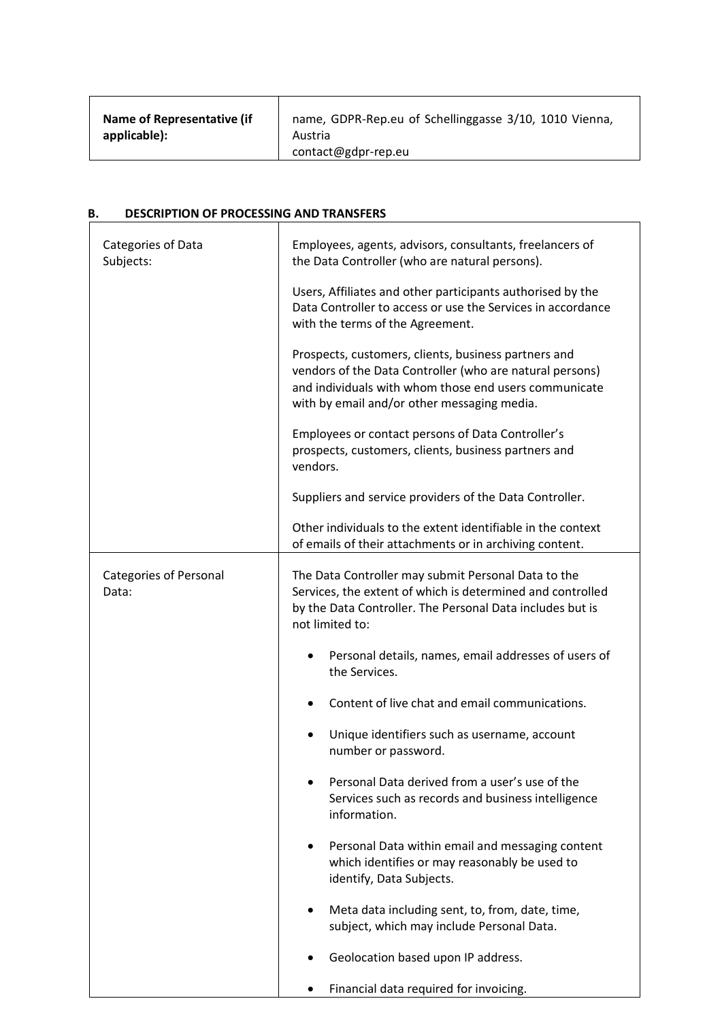| Austria<br>contact@gdpr-rep.eu | Name of Representative (if<br>applicable): | name, GDPR-Rep.eu of Schellinggasse 3/10, 1010 Vienna, |
|--------------------------------|--------------------------------------------|--------------------------------------------------------|
|--------------------------------|--------------------------------------------|--------------------------------------------------------|

| <b>DESCRIPTION OF PROCESSING AND TRANSFERS</b><br>В. |                                                                                                                                                                                                                          |
|------------------------------------------------------|--------------------------------------------------------------------------------------------------------------------------------------------------------------------------------------------------------------------------|
| Categories of Data<br>Subjects:                      | Employees, agents, advisors, consultants, freelancers of<br>the Data Controller (who are natural persons).                                                                                                               |
|                                                      | Users, Affiliates and other participants authorised by the<br>Data Controller to access or use the Services in accordance<br>with the terms of the Agreement.                                                            |
|                                                      | Prospects, customers, clients, business partners and<br>vendors of the Data Controller (who are natural persons)<br>and individuals with whom those end users communicate<br>with by email and/or other messaging media. |
|                                                      | Employees or contact persons of Data Controller's<br>prospects, customers, clients, business partners and<br>vendors.                                                                                                    |
|                                                      | Suppliers and service providers of the Data Controller.                                                                                                                                                                  |
|                                                      | Other individuals to the extent identifiable in the context<br>of emails of their attachments or in archiving content.                                                                                                   |
| <b>Categories of Personal</b><br>Data:               | The Data Controller may submit Personal Data to the<br>Services, the extent of which is determined and controlled<br>by the Data Controller. The Personal Data includes but is<br>not limited to:                        |
|                                                      | Personal details, names, email addresses of users of<br>the Services.                                                                                                                                                    |
|                                                      | Content of live chat and email communications.                                                                                                                                                                           |
|                                                      | Unique identifiers such as username, account<br>number or password.                                                                                                                                                      |
|                                                      | Personal Data derived from a user's use of the<br>$\bullet$<br>Services such as records and business intelligence<br>information.                                                                                        |
|                                                      | Personal Data within email and messaging content<br>$\bullet$<br>which identifies or may reasonably be used to<br>identify, Data Subjects.                                                                               |
|                                                      | Meta data including sent, to, from, date, time,<br>subject, which may include Personal Data.                                                                                                                             |
|                                                      | Geolocation based upon IP address.                                                                                                                                                                                       |
|                                                      | Financial data required for invoicing.                                                                                                                                                                                   |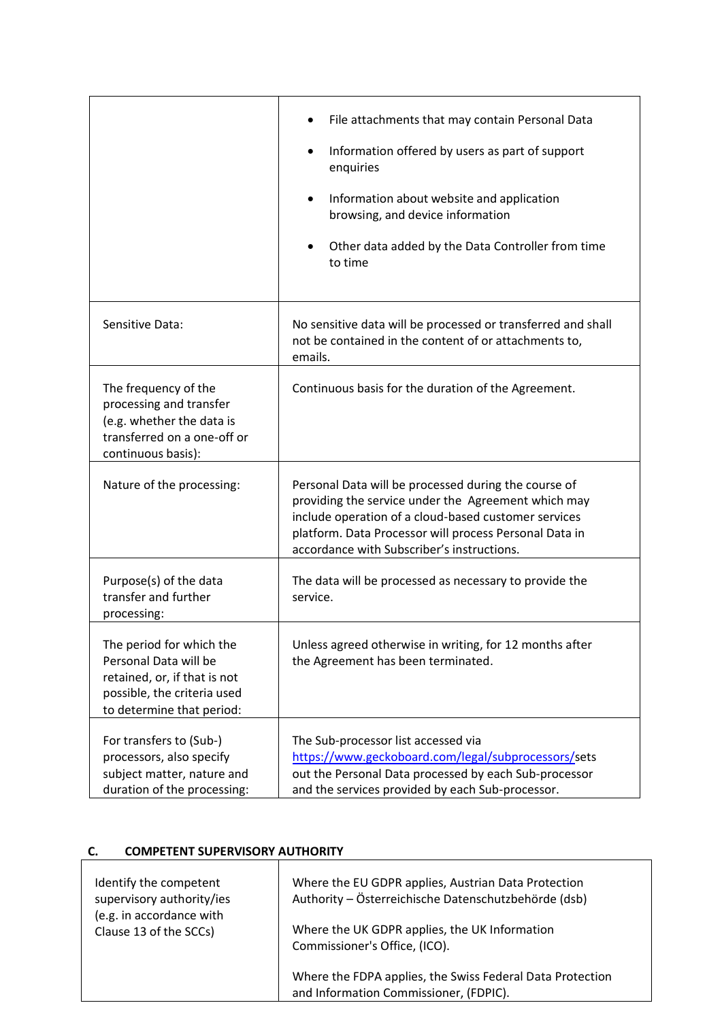|                                                                                                                                               | File attachments that may contain Personal Data<br>Information offered by users as part of support<br>enquiries<br>Information about website and application<br>browsing, and device information<br>Other data added by the Data Controller from time<br>to time            |
|-----------------------------------------------------------------------------------------------------------------------------------------------|-----------------------------------------------------------------------------------------------------------------------------------------------------------------------------------------------------------------------------------------------------------------------------|
| Sensitive Data:                                                                                                                               | No sensitive data will be processed or transferred and shall<br>not be contained in the content of or attachments to,<br>emails.                                                                                                                                            |
| The frequency of the<br>processing and transfer<br>(e.g. whether the data is<br>transferred on a one-off or<br>continuous basis):             | Continuous basis for the duration of the Agreement.                                                                                                                                                                                                                         |
| Nature of the processing:                                                                                                                     | Personal Data will be processed during the course of<br>providing the service under the Agreement which may<br>include operation of a cloud-based customer services<br>platform. Data Processor will process Personal Data in<br>accordance with Subscriber's instructions. |
| Purpose(s) of the data<br>transfer and further<br>processing:                                                                                 | The data will be processed as necessary to provide the<br>service.                                                                                                                                                                                                          |
| The period for which the<br>Personal Data will be<br>retained, or, if that is not<br>possible, the criteria used<br>to determine that period: | Unless agreed otherwise in writing, for 12 months after<br>the Agreement has been terminated.                                                                                                                                                                               |
| For transfers to (Sub-)<br>processors, also specify<br>subject matter, nature and<br>duration of the processing:                              | The Sub-processor list accessed via<br>https://www.geckoboard.com/legal/subprocessors/sets<br>out the Personal Data processed by each Sub-processor<br>and the services provided by each Sub-processor.                                                                     |

| C.<br><b>COMPETENT SUPERVISORY AUTHORITY</b>                                                              |                                                                                                                                                              |
|-----------------------------------------------------------------------------------------------------------|--------------------------------------------------------------------------------------------------------------------------------------------------------------|
| Identify the competent<br>supervisory authority/ies<br>(e.g. in accordance with<br>Clause 13 of the SCCs) | Where the EU GDPR applies, Austrian Data Protection<br>Authority - Österreichische Datenschutzbehörde (dsb)<br>Where the UK GDPR applies, the UK Information |
|                                                                                                           | Commissioner's Office, (ICO).<br>Where the FDPA applies, the Swiss Federal Data Protection<br>and Information Commissioner, (FDPIC).                         |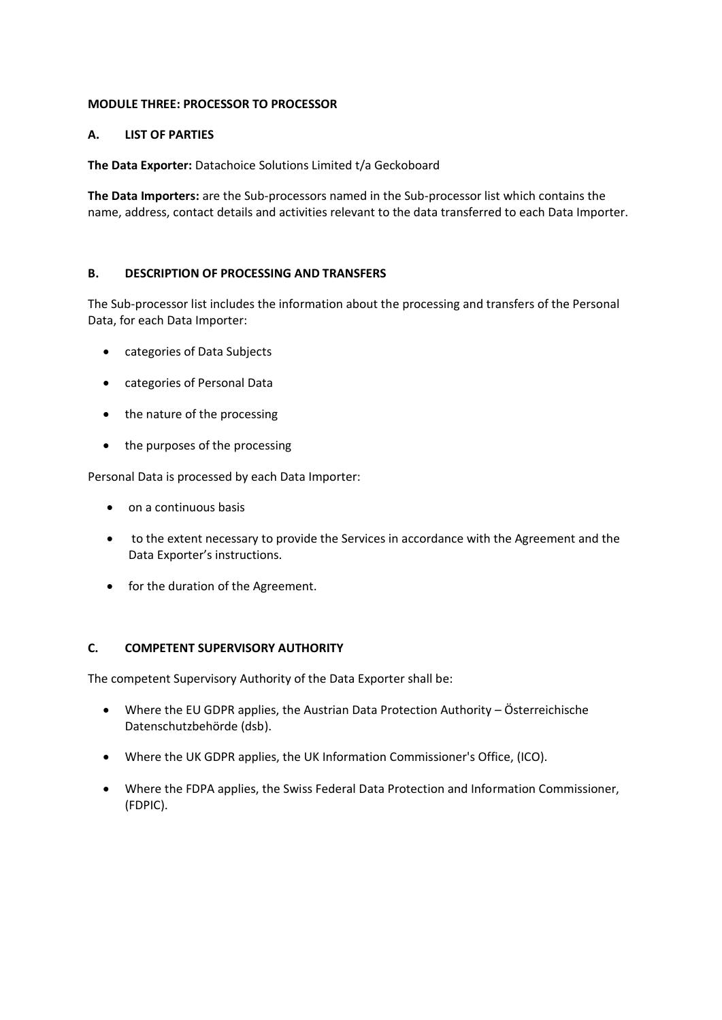# **MODULE THREE: PROCESSOR TO PROCESSOR**

# **A. LIST OF PARTIES**

**The Data Exporter:** Datachoice Solutions Limited t/a Geckoboard

**The Data Importers:** are the Sub-processors named in the Sub-processor list which contains the name, address, contact details and activities relevant to the data transferred to each Data Importer.

## **В. DESCRIPTION OF PROCESSING AND TRANSFERS**

The Sub-processor list includes the information about the processing and transfers of the Personal Data, for each Data Importer:

- categories of Data Subjects
- categories of Personal Data
- the nature of the processing
- the purposes of the processing

Personal Data is processed by each Data Importer:

- on a continuous basis
- to the extent necessary to provide the Services in accordance with the Agreement and the Data Exporter's instructions.
- for the duration of the Agreement.

## **C. COMPETENT SUPERVISORY AUTHORITY**

The competent Supervisory Authority of the Data Exporter shall be:

- Where the EU GDPR applies, the Austrian Data Protection Authority Österreichische Datenschutzbehörde (dsb).
- Where the UK GDPR applies, the UK Information Commissioner's Office, (ICO).
- Where the FDPA applies, the Swiss Federal Data Protection and Information Commissioner, (FDPIC).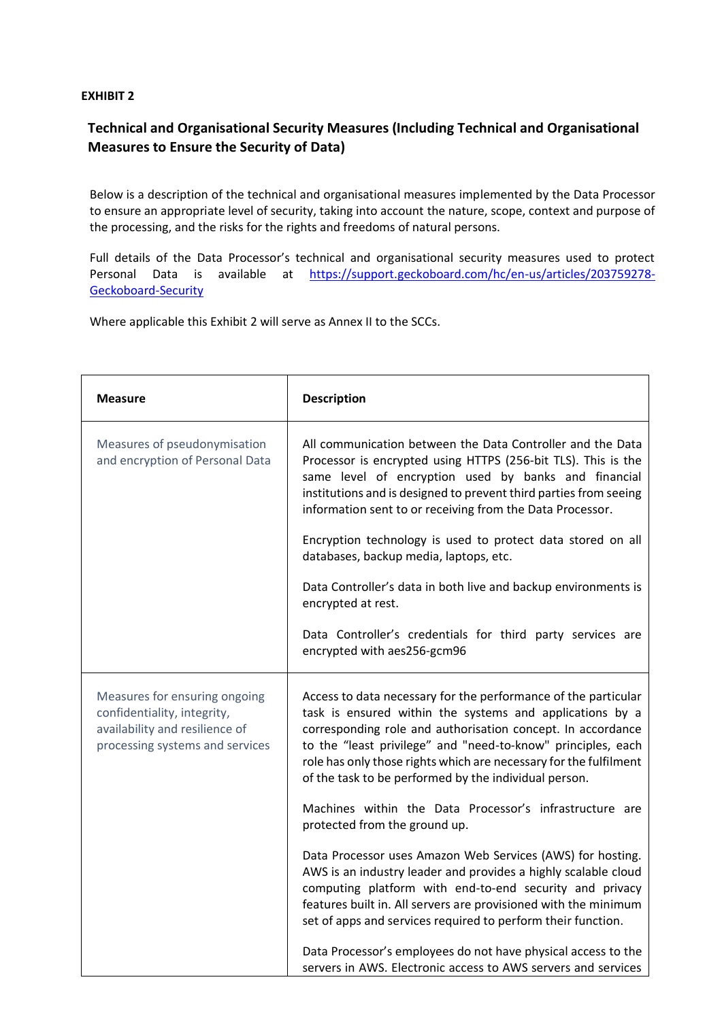# **EXHIBIT 2**

# **Technical and Organisational Security Measures (Including Technical and Organisational Measures to Ensure the Security of Data)**

Below is a description of the technical and organisational measures implemented by the Data Processor to ensure an appropriate level of security, taking into account the nature, scope, context and purpose of the processing, and the risks for the rights and freedoms of natural persons.

Full details of the Data Processor's technical and organisational security measures used to protect Personal Data is available at [https://support.geckoboard.com/hc/en-us/articles/203759278-](https://support.geckoboard.com/hc/en-us/articles/203759278-Geckoboard-Security) [Geckoboard-Security](https://support.geckoboard.com/hc/en-us/articles/203759278-Geckoboard-Security)

Where applicable this Exhibit 2 will serve as Annex II to the SCCs.

| <b>Measure</b>                                                                                                                    | <b>Description</b>                                                                                                                                                                                                                                                                                                                                                                      |
|-----------------------------------------------------------------------------------------------------------------------------------|-----------------------------------------------------------------------------------------------------------------------------------------------------------------------------------------------------------------------------------------------------------------------------------------------------------------------------------------------------------------------------------------|
| Measures of pseudonymisation<br>and encryption of Personal Data                                                                   | All communication between the Data Controller and the Data<br>Processor is encrypted using HTTPS (256-bit TLS). This is the<br>same level of encryption used by banks and financial<br>institutions and is designed to prevent third parties from seeing<br>information sent to or receiving from the Data Processor.                                                                   |
|                                                                                                                                   | Encryption technology is used to protect data stored on all<br>databases, backup media, laptops, etc.                                                                                                                                                                                                                                                                                   |
|                                                                                                                                   | Data Controller's data in both live and backup environments is<br>encrypted at rest.                                                                                                                                                                                                                                                                                                    |
|                                                                                                                                   | Data Controller's credentials for third party services are<br>encrypted with aes256-gcm96                                                                                                                                                                                                                                                                                               |
| Measures for ensuring ongoing<br>confidentiality, integrity,<br>availability and resilience of<br>processing systems and services | Access to data necessary for the performance of the particular<br>task is ensured within the systems and applications by a<br>corresponding role and authorisation concept. In accordance<br>to the "least privilege" and "need-to-know" principles, each<br>role has only those rights which are necessary for the fulfilment<br>of the task to be performed by the individual person. |
|                                                                                                                                   | Machines within the Data Processor's infrastructure are<br>protected from the ground up.                                                                                                                                                                                                                                                                                                |
|                                                                                                                                   | Data Processor uses Amazon Web Services (AWS) for hosting.<br>AWS is an industry leader and provides a highly scalable cloud<br>computing platform with end-to-end security and privacy<br>features built in. All servers are provisioned with the minimum<br>set of apps and services required to perform their function.                                                              |
|                                                                                                                                   | Data Processor's employees do not have physical access to the<br>servers in AWS. Electronic access to AWS servers and services                                                                                                                                                                                                                                                          |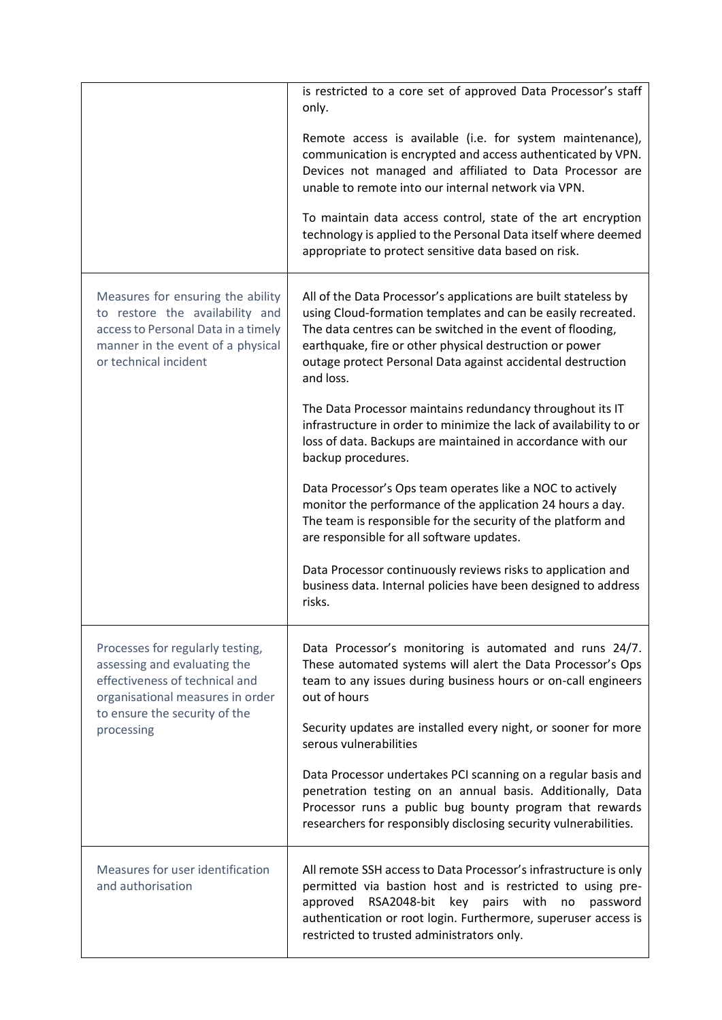|                                                                                                                                                                           | is restricted to a core set of approved Data Processor's staff<br>only.                                                                                                                                                                                                                                                              |
|---------------------------------------------------------------------------------------------------------------------------------------------------------------------------|--------------------------------------------------------------------------------------------------------------------------------------------------------------------------------------------------------------------------------------------------------------------------------------------------------------------------------------|
|                                                                                                                                                                           | Remote access is available (i.e. for system maintenance),<br>communication is encrypted and access authenticated by VPN.<br>Devices not managed and affiliated to Data Processor are<br>unable to remote into our internal network via VPN.                                                                                          |
|                                                                                                                                                                           | To maintain data access control, state of the art encryption<br>technology is applied to the Personal Data itself where deemed<br>appropriate to protect sensitive data based on risk.                                                                                                                                               |
| Measures for ensuring the ability<br>to restore the availability and<br>access to Personal Data in a timely<br>manner in the event of a physical<br>or technical incident | All of the Data Processor's applications are built stateless by<br>using Cloud-formation templates and can be easily recreated.<br>The data centres can be switched in the event of flooding,<br>earthquake, fire or other physical destruction or power<br>outage protect Personal Data against accidental destruction<br>and loss. |
|                                                                                                                                                                           | The Data Processor maintains redundancy throughout its IT<br>infrastructure in order to minimize the lack of availability to or<br>loss of data. Backups are maintained in accordance with our<br>backup procedures.                                                                                                                 |
|                                                                                                                                                                           | Data Processor's Ops team operates like a NOC to actively<br>monitor the performance of the application 24 hours a day.<br>The team is responsible for the security of the platform and<br>are responsible for all software updates.                                                                                                 |
|                                                                                                                                                                           | Data Processor continuously reviews risks to application and<br>business data. Internal policies have been designed to address<br>risks.                                                                                                                                                                                             |
| Processes for regularly testing,<br>assessing and evaluating the<br>effectiveness of technical and<br>organisational measures in order                                    | Data Processor's monitoring is automated and runs 24/7.<br>These automated systems will alert the Data Processor's Ops<br>team to any issues during business hours or on-call engineers<br>out of hours                                                                                                                              |
| to ensure the security of the<br>processing                                                                                                                               | Security updates are installed every night, or sooner for more<br>serous vulnerabilities                                                                                                                                                                                                                                             |
|                                                                                                                                                                           | Data Processor undertakes PCI scanning on a regular basis and<br>penetration testing on an annual basis. Additionally, Data<br>Processor runs a public bug bounty program that rewards<br>researchers for responsibly disclosing security vulnerabilities.                                                                           |
| Measures for user identification<br>and authorisation                                                                                                                     | All remote SSH access to Data Processor's infrastructure is only<br>permitted via bastion host and is restricted to using pre-<br>RSA2048-bit key pairs<br>with<br>password<br>approved<br>no<br>authentication or root login. Furthermore, superuser access is<br>restricted to trusted administrators only.                        |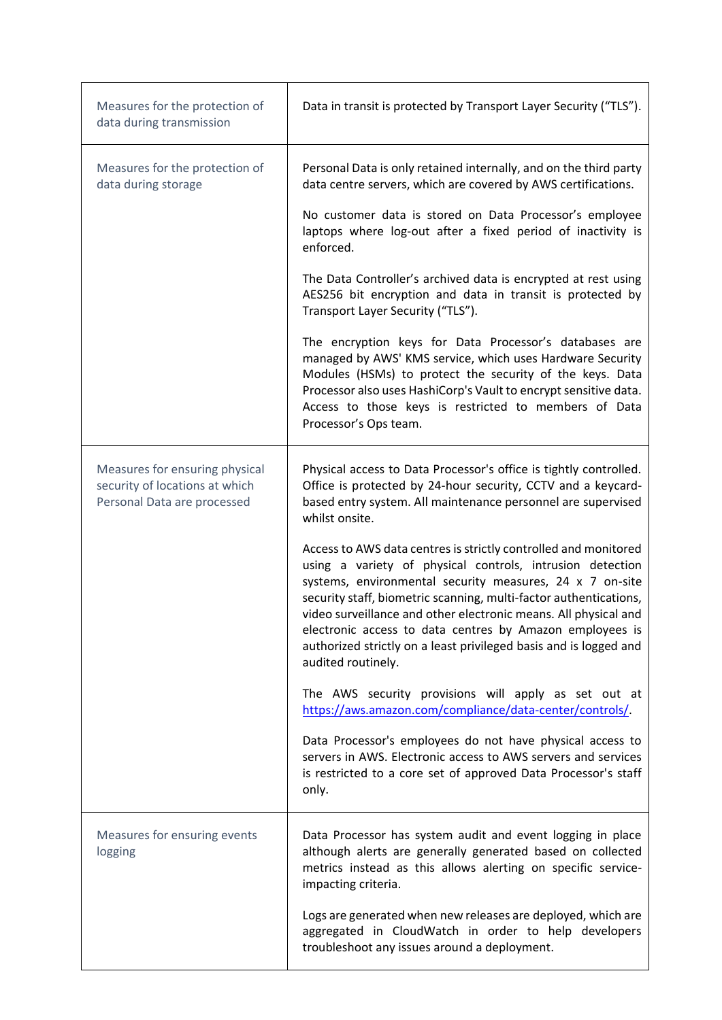| Measures for the protection of<br>data during transmission                                      | Data in transit is protected by Transport Layer Security ("TLS").                                                                                                                                                                                                                                                                                                                                                                                                                                                                                                                                                                |
|-------------------------------------------------------------------------------------------------|----------------------------------------------------------------------------------------------------------------------------------------------------------------------------------------------------------------------------------------------------------------------------------------------------------------------------------------------------------------------------------------------------------------------------------------------------------------------------------------------------------------------------------------------------------------------------------------------------------------------------------|
| Measures for the protection of<br>data during storage                                           | Personal Data is only retained internally, and on the third party<br>data centre servers, which are covered by AWS certifications.<br>No customer data is stored on Data Processor's employee<br>laptops where log-out after a fixed period of inactivity is<br>enforced.<br>The Data Controller's archived data is encrypted at rest using<br>AES256 bit encryption and data in transit is protected by<br>Transport Layer Security ("TLS").<br>The encryption keys for Data Processor's databases are<br>managed by AWS' KMS service, which uses Hardware Security<br>Modules (HSMs) to protect the security of the keys. Data |
|                                                                                                 | Processor also uses HashiCorp's Vault to encrypt sensitive data.<br>Access to those keys is restricted to members of Data<br>Processor's Ops team.                                                                                                                                                                                                                                                                                                                                                                                                                                                                               |
| Measures for ensuring physical<br>security of locations at which<br>Personal Data are processed | Physical access to Data Processor's office is tightly controlled.<br>Office is protected by 24-hour security, CCTV and a keycard-<br>based entry system. All maintenance personnel are supervised<br>whilst onsite.                                                                                                                                                                                                                                                                                                                                                                                                              |
|                                                                                                 | Access to AWS data centres is strictly controlled and monitored<br>using a variety of physical controls, intrusion detection<br>systems, environmental security measures, 24 x 7 on-site<br>security staff, biometric scanning, multi-factor authentications,<br>video surveillance and other electronic means. All physical and<br>electronic access to data centres by Amazon employees is<br>authorized strictly on a least privileged basis and is logged and<br>audited routinely.                                                                                                                                          |
|                                                                                                 | The AWS security provisions will apply as set out at<br>https://aws.amazon.com/compliance/data-center/controls/.                                                                                                                                                                                                                                                                                                                                                                                                                                                                                                                 |
|                                                                                                 | Data Processor's employees do not have physical access to<br>servers in AWS. Electronic access to AWS servers and services<br>is restricted to a core set of approved Data Processor's staff<br>only.                                                                                                                                                                                                                                                                                                                                                                                                                            |
| Measures for ensuring events<br>logging                                                         | Data Processor has system audit and event logging in place<br>although alerts are generally generated based on collected<br>metrics instead as this allows alerting on specific service-<br>impacting criteria.                                                                                                                                                                                                                                                                                                                                                                                                                  |
|                                                                                                 | Logs are generated when new releases are deployed, which are<br>aggregated in CloudWatch in order to help developers<br>troubleshoot any issues around a deployment.                                                                                                                                                                                                                                                                                                                                                                                                                                                             |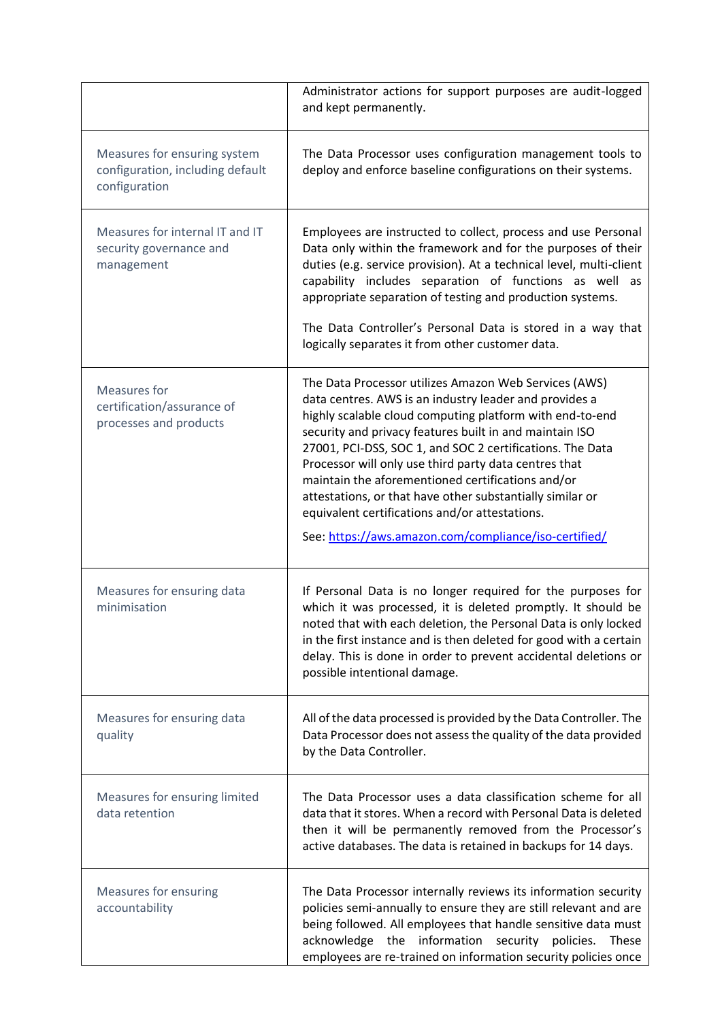|                                                                                   | Administrator actions for support purposes are audit-logged<br>and kept permanently.                                                                                                                                                                                                                                                                                                                                                                                                                                                                                                      |
|-----------------------------------------------------------------------------------|-------------------------------------------------------------------------------------------------------------------------------------------------------------------------------------------------------------------------------------------------------------------------------------------------------------------------------------------------------------------------------------------------------------------------------------------------------------------------------------------------------------------------------------------------------------------------------------------|
| Measures for ensuring system<br>configuration, including default<br>configuration | The Data Processor uses configuration management tools to<br>deploy and enforce baseline configurations on their systems.                                                                                                                                                                                                                                                                                                                                                                                                                                                                 |
| Measures for internal IT and IT<br>security governance and<br>management          | Employees are instructed to collect, process and use Personal<br>Data only within the framework and for the purposes of their<br>duties (e.g. service provision). At a technical level, multi-client<br>capability includes separation of functions as well as<br>appropriate separation of testing and production systems.<br>The Data Controller's Personal Data is stored in a way that<br>logically separates it from other customer data.                                                                                                                                            |
| Measures for<br>certification/assurance of<br>processes and products              | The Data Processor utilizes Amazon Web Services (AWS)<br>data centres. AWS is an industry leader and provides a<br>highly scalable cloud computing platform with end-to-end<br>security and privacy features built in and maintain ISO<br>27001, PCI-DSS, SOC 1, and SOC 2 certifications. The Data<br>Processor will only use third party data centres that<br>maintain the aforementioned certifications and/or<br>attestations, or that have other substantially similar or<br>equivalent certifications and/or attestations.<br>See: https://aws.amazon.com/compliance/iso-certified/ |
| Measures for ensuring data<br>minimisation                                        | If Personal Data is no longer required for the purposes for<br>which it was processed, it is deleted promptly. It should be<br>noted that with each deletion, the Personal Data is only locked<br>in the first instance and is then deleted for good with a certain<br>delay. This is done in order to prevent accidental deletions or<br>possible intentional damage.                                                                                                                                                                                                                    |
| Measures for ensuring data<br>quality                                             | All of the data processed is provided by the Data Controller. The<br>Data Processor does not assess the quality of the data provided<br>by the Data Controller.                                                                                                                                                                                                                                                                                                                                                                                                                           |
| Measures for ensuring limited<br>data retention                                   | The Data Processor uses a data classification scheme for all<br>data that it stores. When a record with Personal Data is deleted<br>then it will be permanently removed from the Processor's<br>active databases. The data is retained in backups for 14 days.                                                                                                                                                                                                                                                                                                                            |
| <b>Measures for ensuring</b><br>accountability                                    | The Data Processor internally reviews its information security<br>policies semi-annually to ensure they are still relevant and are<br>being followed. All employees that handle sensitive data must<br>acknowledge the information security policies.<br>These<br>employees are re-trained on information security policies once                                                                                                                                                                                                                                                          |